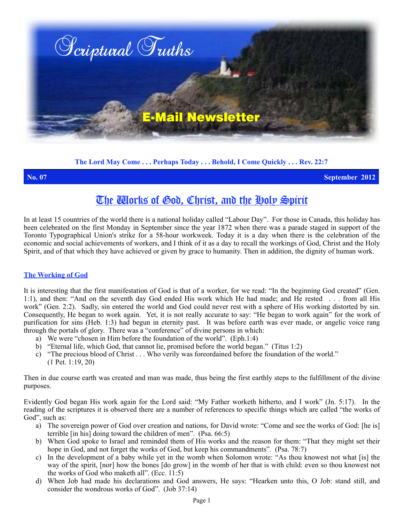

**The Lord May Come . . . Perhaps Today . . . Behold, I Come Quickly . . . Rev. 22:7**

**No. 07 September 2012**

# The Works of God, Christ, and the Holy Spirit

In at least 15 countries of the world there is a national holiday called "Labour Day". For those in Canada, this holiday has been celebrated on the first Monday in September since the year 1872 when there was a parade staged in support of the Toronto Typographical Union's strike for a 58-hour workweek. Today it is a day when there is the celebration of the economic and social achievements of workers, and I think of it as a day to recall the workings of God, Christ and the Holy Spirit, and of that which they have achieved or given by grace to humanity. Then in addition, the dignity of human work.

#### **The Working of God**

It is interesting that the first manifestation of God is that of a worker, for we read: "In the beginning God created" (Gen. 1:1), and then: "And on the seventh day God ended His work which He had made; and He rested . . . from all His work" (Gen. 2:2). Sadly, sin entered the world and God could never rest with a sphere of His working distorted by sin. Consequently, He began to work again. Yet, it is not really accurate to say: "He began to work again" for the work of purification for sins (Heb. 1:3) had begun in eternity past. It was before earth was ever made, or angelic voice rang through the portals of glory. There was a "conference" of divine persons in which:

- a) We were "chosen in Him before the foundation of the world". (Eph.1:4)
- b) "Eternal life, which God, that cannot lie, promised before the world began." (Titus 1:2)
- c) "The precious blood of Christ . . . Who verily was foreordained before the foundation of the world." (1 Pet. 1:19, 20)

Then in due course earth was created and man was made, thus being the first earthly steps to the fulfillment of the divine purposes.

Evidently God began His work again for the Lord said: "My Father worketh hitherto, and I work" (Jn. 5:17). In the reading of the scriptures it is observed there are a number of references to specific things which are called "the works of God", such as:

- a) The sovereign power of God over creation and nations, for David wrote: "Come and see the works of God: [he is] terrible [in his] doing toward the children of men". (Psa. 66:5)
- b) When God spoke to Israel and reminded them of His works and the reason for them: "That they might set their hope in God, and not forget the works of God, but keep his commandments". (Psa. 78:7)
- c) In the development of a baby while yet in the womb when Solomon wrote: "As thou knowest not what [is] the way of the spirit, [nor] how the bones [do grow] in the womb of her that is with child: even so thou knowest not the works of God who maketh all". (Ecc. 11:5)
- d) When Job had made his declarations and God answers, He says: "Hearken unto this, O Job: stand still, and consider the wondrous works of God". (Job 37:14)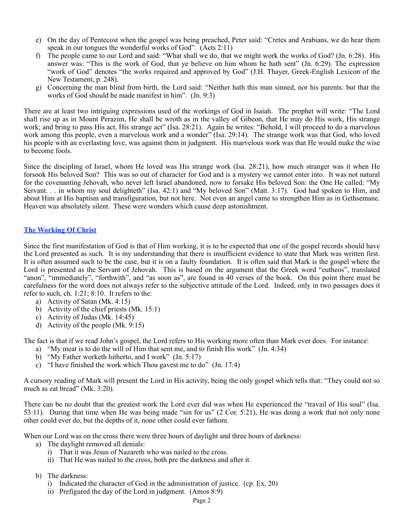- e) On the day of Pentecost when the gospel was being preached, Peter said: "Cretes and Arabians, we do hear them speak in our tongues the wonderful works of God". (Acts 2:11)
- f) The people came to our Lord and said: "What shall we do, that we might work the works of God? (Jn. 6:28). His answer was: "This is the work of God, that ye believe on him whom he hath sent" (Jn. 6:29). The expression "work of God" denotes "the works required and approved by God" (J.H. Thayer, Greek-English Lexicon of the New Testament, p. 248).
- g) Concerning the man blind from birth, the Lord said: "Neither hath this man sinned, nor his parents: but that the works of God should be made manifest in him". (Jn. 9:3)

There are at least two intriguing expressions used of the workings of God in Isaiah. The prophet will write: "The Lord shall rise up as in Mount Perazim, He shall be wroth as in the valley of Gibeon, that He may do His work, His strange work; and bring to pass His act, His strange act" (Isa. 28:21). Again he writes: "Behold, I will proceed to do a marvelous work among this people, even a marvelous work and a wonder" (Isa. 29:14). The strange work was that God, who loved his people with an everlasting love, was against them in judgment. His marvelous work was that He would make the wise to become fools.

Since the discipling of Israel, whom He loved was His strange work (Isa. 28:21), how much stranger was it when He forsook His beloved Son? This was so out of character for God and is a mystery we cannot enter into. It was not natural for the covenanting Jehovah, who never left Israel abandoned, now to forsake His beloved Son: the One He called: "My Servant. . . in whom my soul delighteth" (Isa. 42:1) and "My beloved Son" (Matt. 3:17). God had spoken to Him, and about Him at His baptism and transfiguration, but not here. Not even an angel came to strengthen Him as in Gethsemane. Heaven was absolutely silent. These were wonders which cause deep astonishment.

# **The Working Of Christ**

Since the first manifestation of God is that of Him working, it is to be expected that one of the gospel records should have the Lord presented as such. It is my understanding that there is insufficient evidence to state that Mark was written first. It is often assumed such to be the case, but it is on a faulty foundation. It is often said that Mark is the gospel where the Lord is presented as the Servant of Jehovah. This is based on the argument that the Greek word "eutheos", translated "anon", "immediately", "forthwith", and "as soon as", are found in 40 verses of the book. On this point there must be carefulness for the word does not always refer to the subjective attitude of the Lord. Indeed, only in two passages does it refer to such, ch. 1:21; 8:10. It refers to the:

- a) Activity of Satan (Mk. 4:15)
- b) Activity of the chief priests (Mk. 15:1)
- c) Activity of Judas (Mk. 14:45)
- d) Activity of the people (Mk. 9:15)

The fact is that if we read John's gospel, the Lord refers to His working more often than Mark ever does. For instance:

- a) "My meat is to do the will of Him that sent me, and to finish His work" (Jn. 4:34)
- b) "My Father worketh hitherto, and I work" (Jn. 5:17)
- c) "I have finished the work which Thou gavest me to do" (Jn. 17:4)

A cursory reading of Mark will present the Lord in His activity, being the only gospel which tells that: "They could not so much as eat bread" (Mk. 3:20).

There can be no doubt that the greatest work the Lord ever did was when He experienced the "travail of His soul" (Isa. 53:11). During that time when He was being made "sin for us" (2 Cor. 5:21), He was doing a work that not only none other could ever do, but the depths of it, none other could ever fathom.

When our Lord was on the cross there were three hours of daylight and three hours of darkness:

- a) The daylight removed all denials:
	- i) That it was Jesus of Nazareth who was nailed to the cross.
	- ii) That He was nailed to the cross, both pre the darkness and after it.
- b) The darkness:
	- i) Indicated the character of God in the administration of justice. (cp. Ex. 20)
	- ii) Prefigured the day of the Lord in judgment. (Amos 8:9)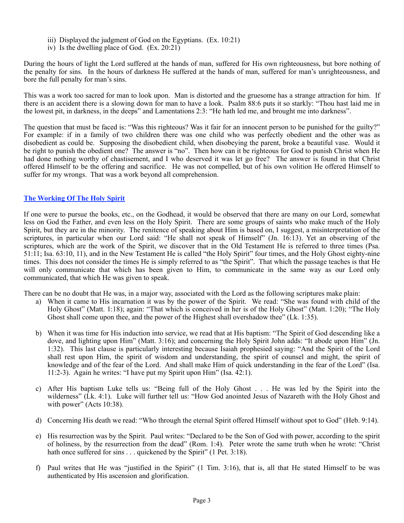- iii) Displayed the judgment of God on the Egyptians. (Ex. 10:21)
- iv) Is the dwelling place of God. (Ex. 20:21)

During the hours of light the Lord suffered at the hands of man, suffered for His own righteousness, but bore nothing of the penalty for sins. In the hours of darkness He suffered at the hands of man, suffered for man's unrighteousness, and bore the full penalty for man's sins.

This was a work too sacred for man to look upon. Man is distorted and the gruesome has a strange attraction for him. If there is an accident there is a slowing down for man to have a look. Psalm 88:6 puts it so starkly: "Thou hast laid me in the lowest pit, in darkness, in the deeps" and Lamentations 2:3: "He hath led me, and brought me into darkness".

The question that must be faced is: "Was this righteous? Was it fair for an innocent person to be punished for the guilty?" For example: if in a family of two children there was one child who was perfectly obedient and the other was as disobedient as could be. Supposing the disobedient child, when disobeying the parent, broke a beautiful vase. Would it be right to punish the obedient one? The answer is "no". Then how can it be righteous for God to punish Christ when He had done nothing worthy of chastisement, and I who deserved it was let go free? The answer is found in that Christ offered Himself to be the offering and sacrifice. He was not compelled, but of his own volition He offered Himself to suffer for my wrongs. That was a work beyond all comprehension.

# **The Working Of The Holy Spirit**

If one were to pursue the books, etc., on the Godhead, it would be observed that there are many on our Lord, somewhat less on God the Father, and even less on the Holy Spirit. There are some groups of saints who make much of the Holy Spirit, but they are in the minority. The renitence of speaking about Him is based on, I suggest, a misinterpretation of the scriptures, in particular when our Lord said: "He shall not speak of Himself" (Jn. 16:13). Yet an observing of the scriptures, which are the work of the Spirit, we discover that in the Old Testament He is referred to three times (Psa. 51:11; Isa. 63:10, 11), and in the New Testament He is called "the Holy Spirit" four times, and the Holy Ghost eighty-nine times. This does not consider the times He is simply referred to as "the Spirit". That which the passage teaches is that He will only communicate that which has been given to Him, to communicate in the same way as our Lord only communicated, that which He was given to speak.

There can be no doubt that He was, in a major way, associated with the Lord as the following scriptures make plain:

- a) When it came to His incarnation it was by the power of the Spirit. We read: "She was found with child of the Holy Ghost" (Matt. 1:18); again: "That which is conceived in her is of the Holy Ghost" (Matt. 1:20); "The Holy Ghost shall come upon thee, and the power of the Highest shall overshadow thee" (Lk. 1:35).
- b) When it was time for His induction into service, we read that at His baptism: "The Spirit of God descending like a dove, and lighting upon Him" (Matt. 3:16); and concerning the Holy Spirit John adds: "It abode upon Him" (Jn. 1:32). This last clause is particularly interesting because Isaiah prophesied saying: "And the Spirit of the Lord shall rest upon Him, the spirit of wisdom and understanding, the spirit of counsel and might, the spirit of knowledge and of the fear of the Lord. And shall make Him of quick understanding in the fear of the Lord" (Isa. 11:2-3). Again he writes: "I have put my Spirit upon Him" (Isa. 42:1).
- c) After His baptism Luke tells us: "Being full of the Holy Ghost . . . He was led by the Spirit into the wilderness" (Lk. 4:1). Luke will further tell us: "How God anointed Jesus of Nazareth with the Holy Ghost and with power" (Acts  $10:38$ ).
- d) Concerning His death we read: "Who through the eternal Spirit offered Himself without spot to God" (Heb. 9:14).
- e) His resurrection was by the Spirit. Paul writes: "Declared to be the Son of God with power, according to the spirit of holiness, by the resurrection from the dead" (Rom. 1:4). Peter wrote the same truth when he wrote: "Christ hath once suffered for sins . . . quickened by the Spirit" (1 Pet. 3:18).
- f) Paul writes that He was "justified in the Spirit" (1 Tim. 3:16), that is, all that He stated Himself to be was authenticated by His ascension and glorification.